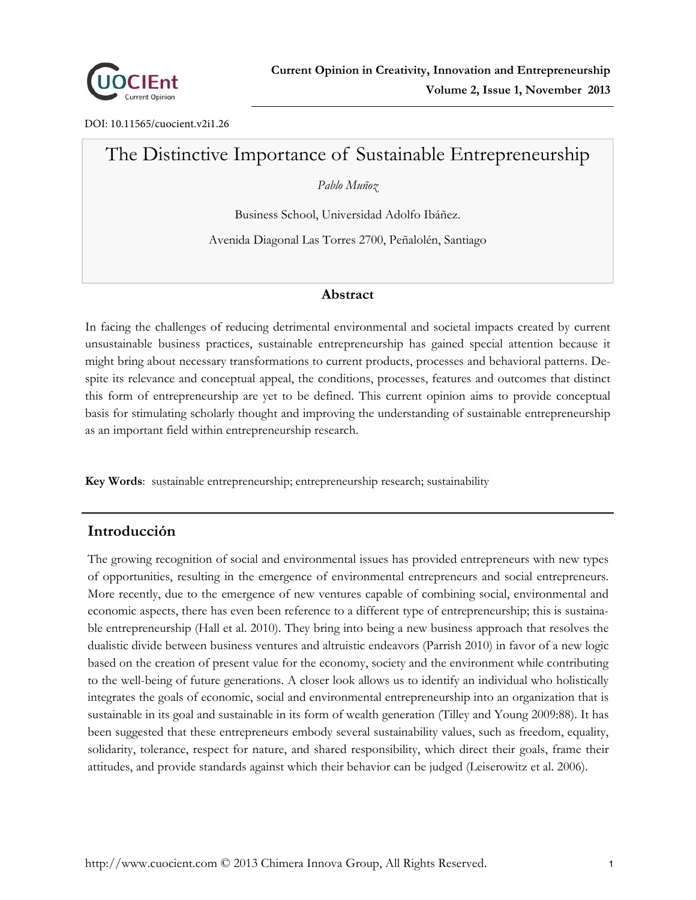

DOI: 10.11565/cuocient.v2i1.26

# The Distinctive Importance of Sustainable Entrepreneurship

*Pablo Muñoz* 

Business School, Universidad Adolfo Ibáñez.

Avenida Diagonal Las Torres 2700, Peñalolén, Santiago

#### **Abstract**

In facing the challenges of reducing detrimental environmental and societal impacts created by current unsustainable business practices, sustainable entrepreneurship has gained special attention because it might bring about necessary transformations to current products, processes and behavioral patterns. Despite its relevance and conceptual appeal, the conditions, processes, features and outcomes that distinct this form of entrepreneurship are yet to be defined. This current opinion aims to provide conceptual basis for stimulating scholarly thought and improving the understanding of sustainable entrepreneurship as an important field within entrepreneurship research.

**Key Words**: sustainable entrepreneurship; entrepreneurship research; sustainability

## **Introducción**

The growing recognition of social and environmental issues has provided entrepreneurs with new types of opportunities, resulting in the emergence of environmental entrepreneurs and social entrepreneurs. More recently, due to the emergence of new ventures capable of combining social, environmental and economic aspects, there has even been reference to a different type of entrepreneurship; this is sustainable entrepreneurship (Hall et al. 2010). They bring into being a new business approach that resolves the dualistic divide between business ventures and altruistic endeavors (Parrish 2010) in favor of a new logic based on the creation of present value for the economy, society and the environment while contributing to the well-being of future generations. A closer look allows us to identify an individual who holistically integrates the goals of economic, social and environmental entrepreneurship into an organization that is sustainable in its goal and sustainable in its form of wealth generation (Tilley and Young 2009:88). It has been suggested that these entrepreneurs embody several sustainability values, such as freedom, equality, solidarity, tolerance, respect for nature, and shared responsibility, which direct their goals, frame their attitudes, and provide standards against which their behavior can be judged (Leiserowitz et al. 2006).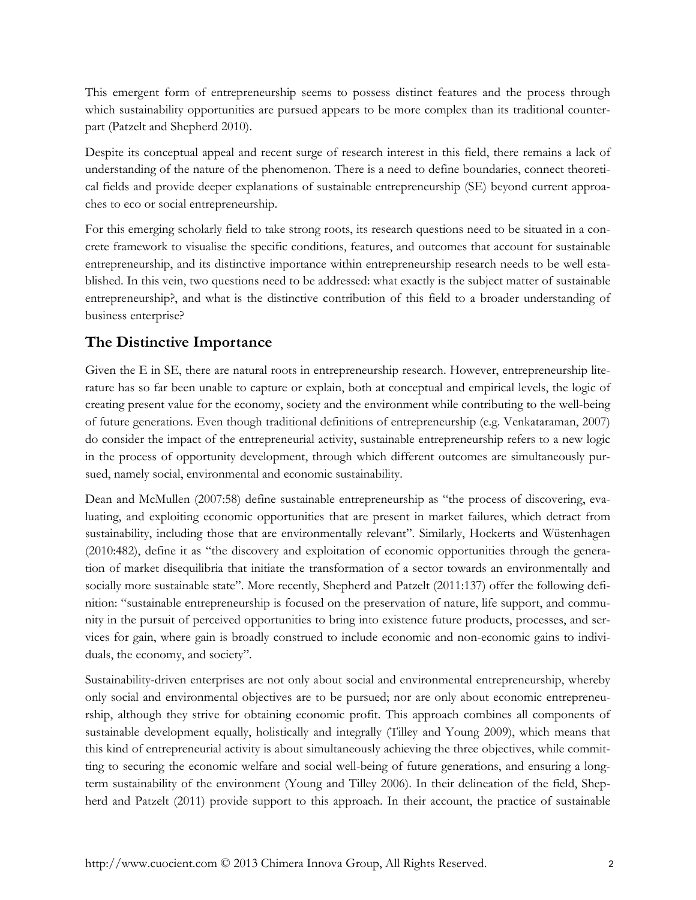This emergent form of entrepreneurship seems to possess distinct features and the process through which sustainability opportunities are pursued appears to be more complex than its traditional counterpart (Patzelt and Shepherd 2010).

Despite its conceptual appeal and recent surge of research interest in this field, there remains a lack of understanding of the nature of the phenomenon. There is a need to define boundaries, connect theoretical fields and provide deeper explanations of sustainable entrepreneurship (SE) beyond current approaches to eco or social entrepreneurship.

For this emerging scholarly field to take strong roots, its research questions need to be situated in a concrete framework to visualise the specific conditions, features, and outcomes that account for sustainable entrepreneurship, and its distinctive importance within entrepreneurship research needs to be well established. In this vein, two questions need to be addressed: what exactly is the subject matter of sustainable entrepreneurship?, and what is the distinctive contribution of this field to a broader understanding of business enterprise?

## **The Distinctive Importance**

Given the E in SE, there are natural roots in entrepreneurship research. However, entrepreneurship literature has so far been unable to capture or explain, both at conceptual and empirical levels, the logic of creating present value for the economy, society and the environment while contributing to the well-being of future generations. Even though traditional definitions of entrepreneurship (e.g. Venkataraman, 2007) do consider the impact of the entrepreneurial activity, sustainable entrepreneurship refers to a new logic in the process of opportunity development, through which different outcomes are simultaneously pursued, namely social, environmental and economic sustainability.

Dean and McMullen (2007:58) define sustainable entrepreneurship as "the process of discovering, evaluating, and exploiting economic opportunities that are present in market failures, which detract from sustainability, including those that are environmentally relevant". Similarly, Hockerts and Wüstenhagen (2010:482), define it as "the discovery and exploitation of economic opportunities through the generation of market disequilibria that initiate the transformation of a sector towards an environmentally and socially more sustainable state". More recently, Shepherd and Patzelt (2011:137) offer the following definition: "sustainable entrepreneurship is focused on the preservation of nature, life support, and community in the pursuit of perceived opportunities to bring into existence future products, processes, and services for gain, where gain is broadly construed to include economic and non-economic gains to individuals, the economy, and society".

Sustainability-driven enterprises are not only about social and environmental entrepreneurship, whereby only social and environmental objectives are to be pursued; nor are only about economic entrepreneurship, although they strive for obtaining economic profit. This approach combines all components of sustainable development equally, holistically and integrally (Tilley and Young 2009), which means that this kind of entrepreneurial activity is about simultaneously achieving the three objectives, while committing to securing the economic welfare and social well-being of future generations, and ensuring a longterm sustainability of the environment (Young and Tilley 2006). In their delineation of the field, Shepherd and Patzelt (2011) provide support to this approach. In their account, the practice of sustainable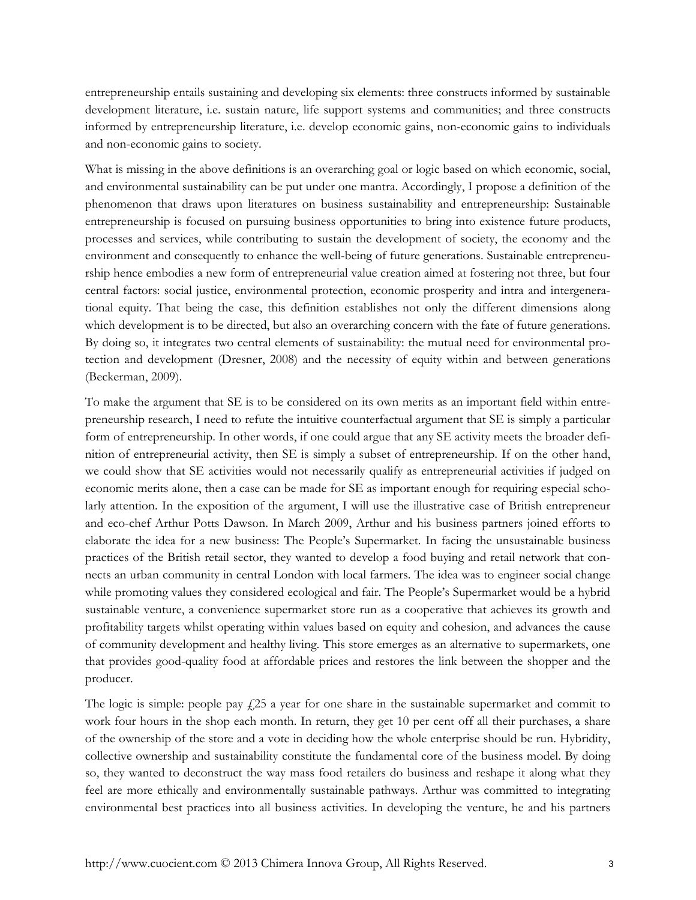entrepreneurship entails sustaining and developing six elements: three constructs informed by sustainable development literature, i.e. sustain nature, life support systems and communities; and three constructs informed by entrepreneurship literature, i.e. develop economic gains, non-economic gains to individuals and non-economic gains to society.

What is missing in the above definitions is an overarching goal or logic based on which economic, social, and environmental sustainability can be put under one mantra. Accordingly, I propose a definition of the phenomenon that draws upon literatures on business sustainability and entrepreneurship: Sustainable entrepreneurship is focused on pursuing business opportunities to bring into existence future products, processes and services, while contributing to sustain the development of society, the economy and the environment and consequently to enhance the well-being of future generations. Sustainable entrepreneurship hence embodies a new form of entrepreneurial value creation aimed at fostering not three, but four central factors: social justice, environmental protection, economic prosperity and intra and intergenerational equity. That being the case, this definition establishes not only the different dimensions along which development is to be directed, but also an overarching concern with the fate of future generations. By doing so, it integrates two central elements of sustainability: the mutual need for environmental protection and development (Dresner, 2008) and the necessity of equity within and between generations (Beckerman, 2009).

To make the argument that SE is to be considered on its own merits as an important field within entrepreneurship research, I need to refute the intuitive counterfactual argument that SE is simply a particular form of entrepreneurship. In other words, if one could argue that any SE activity meets the broader definition of entrepreneurial activity, then SE is simply a subset of entrepreneurship. If on the other hand, we could show that SE activities would not necessarily qualify as entrepreneurial activities if judged on economic merits alone, then a case can be made for SE as important enough for requiring especial scholarly attention. In the exposition of the argument, I will use the illustrative case of British entrepreneur and eco-chef Arthur Potts Dawson. In March 2009, Arthur and his business partners joined efforts to elaborate the idea for a new business: The People's Supermarket. In facing the unsustainable business practices of the British retail sector, they wanted to develop a food buying and retail network that connects an urban community in central London with local farmers. The idea was to engineer social change while promoting values they considered ecological and fair. The People's Supermarket would be a hybrid sustainable venture, a convenience supermarket store run as a cooperative that achieves its growth and profitability targets whilst operating within values based on equity and cohesion, and advances the cause of community development and healthy living. This store emerges as an alternative to supermarkets, one that provides good-quality food at affordable prices and restores the link between the shopper and the producer.

The logic is simple: people pay  $f<sub>1</sub>25$  a year for one share in the sustainable supermarket and commit to work four hours in the shop each month. In return, they get 10 per cent off all their purchases, a share of the ownership of the store and a vote in deciding how the whole enterprise should be run. Hybridity, collective ownership and sustainability constitute the fundamental core of the business model. By doing so, they wanted to deconstruct the way mass food retailers do business and reshape it along what they feel are more ethically and environmentally sustainable pathways. Arthur was committed to integrating environmental best practices into all business activities. In developing the venture, he and his partners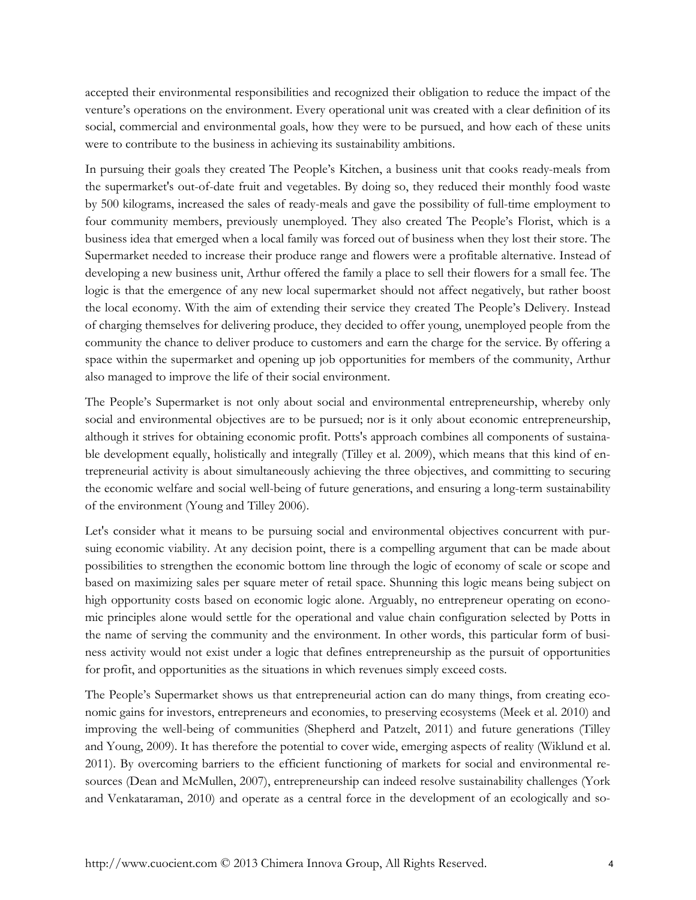accepted their environmental responsibilities and recognized their obligation to reduce the impact of the venture's operations on the environment. Every operational unit was created with a clear definition of its social, commercial and environmental goals, how they were to be pursued, and how each of these units were to contribute to the business in achieving its sustainability ambitions.

In pursuing their goals they created The People's Kitchen, a business unit that cooks ready-meals from the supermarket's out-of-date fruit and vegetables. By doing so, they reduced their monthly food waste by 500 kilograms, increased the sales of ready-meals and gave the possibility of full-time employment to four community members, previously unemployed. They also created The People's Florist, which is a business idea that emerged when a local family was forced out of business when they lost their store. The Supermarket needed to increase their produce range and flowers were a profitable alternative. Instead of developing a new business unit, Arthur offered the family a place to sell their flowers for a small fee. The logic is that the emergence of any new local supermarket should not affect negatively, but rather boost the local economy. With the aim of extending their service they created The People's Delivery. Instead of charging themselves for delivering produce, they decided to offer young, unemployed people from the community the chance to deliver produce to customers and earn the charge for the service. By offering a space within the supermarket and opening up job opportunities for members of the community, Arthur also managed to improve the life of their social environment.

The People's Supermarket is not only about social and environmental entrepreneurship, whereby only social and environmental objectives are to be pursued; nor is it only about economic entrepreneurship, although it strives for obtaining economic profit. Potts's approach combines all components of sustainable development equally, holistically and integrally (Tilley et al. 2009), which means that this kind of entrepreneurial activity is about simultaneously achieving the three objectives, and committing to securing the economic welfare and social well-being of future generations, and ensuring a long-term sustainability of the environment (Young and Tilley 2006).

Let's consider what it means to be pursuing social and environmental objectives concurrent with pursuing economic viability. At any decision point, there is a compelling argument that can be made about possibilities to strengthen the economic bottom line through the logic of economy of scale or scope and based on maximizing sales per square meter of retail space. Shunning this logic means being subject on high opportunity costs based on economic logic alone. Arguably, no entrepreneur operating on economic principles alone would settle for the operational and value chain configuration selected by Potts in the name of serving the community and the environment. In other words, this particular form of business activity would not exist under a logic that defines entrepreneurship as the pursuit of opportunities for profit, and opportunities as the situations in which revenues simply exceed costs.

The People's Supermarket shows us that entrepreneurial action can do many things, from creating economic gains for investors, entrepreneurs and economies, to preserving ecosystems (Meek et al. 2010) and improving the well-being of communities (Shepherd and Patzelt, 2011) and future generations (Tilley and Young, 2009). It has therefore the potential to cover wide, emerging aspects of reality (Wiklund et al. 2011). By overcoming barriers to the efficient functioning of markets for social and environmental resources (Dean and McMullen, 2007), entrepreneurship can indeed resolve sustainability challenges (York and Venkataraman, 2010) and operate as a central force in the development of an ecologically and so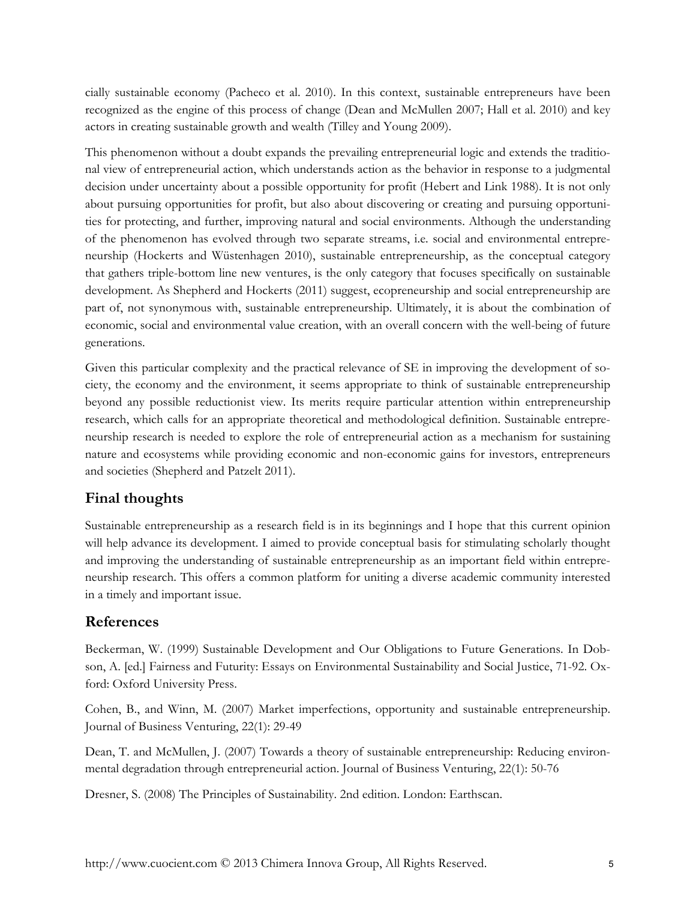cially sustainable economy (Pacheco et al. 2010). In this context, sustainable entrepreneurs have been recognized as the engine of this process of change (Dean and McMullen 2007; Hall et al. 2010) and key actors in creating sustainable growth and wealth (Tilley and Young 2009).

This phenomenon without a doubt expands the prevailing entrepreneurial logic and extends the traditional view of entrepreneurial action, which understands action as the behavior in response to a judgmental decision under uncertainty about a possible opportunity for profit (Hebert and Link 1988). It is not only about pursuing opportunities for profit, but also about discovering or creating and pursuing opportunities for protecting, and further, improving natural and social environments. Although the understanding of the phenomenon has evolved through two separate streams, i.e. social and environmental entrepreneurship (Hockerts and Wüstenhagen 2010), sustainable entrepreneurship, as the conceptual category that gathers triple-bottom line new ventures, is the only category that focuses specifically on sustainable development. As Shepherd and Hockerts (2011) suggest, ecopreneurship and social entrepreneurship are part of, not synonymous with, sustainable entrepreneurship. Ultimately, it is about the combination of economic, social and environmental value creation, with an overall concern with the well-being of future generations.

Given this particular complexity and the practical relevance of SE in improving the development of society, the economy and the environment, it seems appropriate to think of sustainable entrepreneurship beyond any possible reductionist view. Its merits require particular attention within entrepreneurship research, which calls for an appropriate theoretical and methodological definition. Sustainable entrepreneurship research is needed to explore the role of entrepreneurial action as a mechanism for sustaining nature and ecosystems while providing economic and non-economic gains for investors, entrepreneurs and societies (Shepherd and Patzelt 2011).

### **Final thoughts**

Sustainable entrepreneurship as a research field is in its beginnings and I hope that this current opinion will help advance its development. I aimed to provide conceptual basis for stimulating scholarly thought and improving the understanding of sustainable entrepreneurship as an important field within entrepreneurship research. This offers a common platform for uniting a diverse academic community interested in a timely and important issue.

#### **References**

Beckerman, W. (1999) Sustainable Development and Our Obligations to Future Generations. In Dobson, A. [ed.] Fairness and Futurity: Essays on Environmental Sustainability and Social Justice, 71-92. Oxford: Oxford University Press.

Cohen, B., and Winn, M. (2007) Market imperfections, opportunity and sustainable entrepreneurship. Journal of Business Venturing, 22(1): 29-49

Dean, T. and McMullen, J. (2007) Towards a theory of sustainable entrepreneurship: Reducing environmental degradation through entrepreneurial action. Journal of Business Venturing, 22(1): 50-76

Dresner, S. (2008) The Principles of Sustainability. 2nd edition. London: Earthscan.